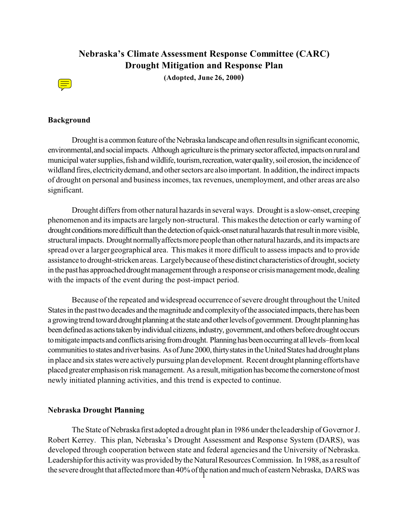# **Nebraska's Climate Assessment Response Committee (CARC) Drought Mitigation and Response Plan**

**(Adopted, June 26, 2000)**



## **Background**

Drought is a common feature of the Nebraska landscape and often results in significant economic, environmental, and social impacts. Although agriculture is the primary sector affected, impacts on rural and municipal water supplies, fish and wildlife, tourism, recreation, water quality, soil erosion, the incidence of wildland fires, electricity demand, and other sectors are also important. In addition, the indirect impacts of drought on personal and business incomes, tax revenues, unemployment, and other areas are also significant.

Drought differs from other natural hazards in several ways. Drought is a slow-onset, creeping phenomenon and its impacts are largely non-structural. This makes the detection or early warning of drought conditions more difficult than the detection of quick-onset natural hazards that result in more visible, structural impacts. Drought normally affects more people than other natural hazards, and its impacts are spread over a larger geographical area. This makes it more difficult to assess impacts and to provide assistance to drought-stricken areas. Largely because of these distinct characteristics of drought, society in the past has approached drought management through a response or crisis management mode, dealing with the impacts of the event during the post-impact period.

Because of the repeated and widespread occurrence of severe drought throughout the United States in the past two decades and the magnitude and complexity of the associated impacts, there has been a growing trend toward drought planning at the state and other levels of government. Drought planning has been defined as actions taken by individual citizens, industry, government, and others before drought occurs to mitigate impacts and conflicts arising from drought. Planning has been occurring at all levels–from local communities to states and river basins. As of June 2000, thirty states in the United States had drought plans in place and six stateswere actively pursuing plan development. Recent drought planning effortshave placed greater emphasis on risk management. As a result, mitigation has become the cornerstone of most newly initiated planning activities, and this trend is expected to continue.

#### **Nebraska Drought Planning**

The State of Nebraska first adopted a drought plan in 1986 under the leadership of Governor J. Robert Kerrey. This plan, Nebraska's Drought Assessment and Response System (DARS), was developed through cooperation between state and federal agencies and the University of Nebraska. Leadership for this activity was provided by the Natural Resources Commission. In 1988, as a result of the severe drought that affected more than 40% of the nation and much of eastern Nebraska, DARS was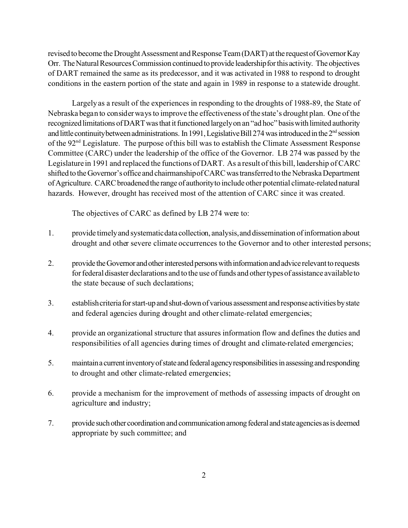revised to become the Drought Assessment and Response Team (DART) at the request of Governor Kay Orr. The Natural Resources Commission continued to provide leadership for this activity. The objectives of DART remained the same as its predecessor, and it was activated in 1988 to respond to drought conditions in the eastern portion of the state and again in 1989 in response to a statewide drought.

Largely as a result of the experiences in responding to the droughts of 1988-89, the State of Nebraska began to consider ways to improve the effectiveness of the state's drought plan. One of the recognized limitations of DART was that it functioned largely on an "ad hoc" basis with limited authority and little continuity between administrations. In 1991, Legislative Bill 274 was introduced in the 2<sup>nd</sup> session of the 92nd Legislature. The purpose of this bill was to establish the Climate Assessment Response Committee (CARC) under the leadership of the office of the Governor. LB 274 was passed by the Legislature in 1991 and replaced the functions of DART. As a result of this bill, leadership of CARC shifted to the Governor's office and chairmanship of CARC was transferred to the Nebraska Department of Agriculture. CARC broadened the range of authority to include other potential climate-related natural hazards. However, drought has received most of the attention of CARC since it was created.

The objectives of CARC as defined by LB 274 were to:

- 1. provide timelyand systematicdata collection, analysis,and dissemination ofinformation about drought and other severe climate occurrences to the Governor and to other interested persons;
- 2. provide the Governor and other interested persons with information and advice relevant to requests for federal disaster declarations and to the use of funds and other types of assistance available to the state because of such declarations;
- 3. establishcriteriaforstart-upand shut-down of various assessment and responseactivities bystate and federal agencies during drought and other climate-related emergencies;
- 4. provide an organizational structure that assures information flow and defines the duties and responsibilities of all agencies during times of drought and climate-related emergencies;
- 5. maintain a current inventory of state and federal agency responsibilities in assessing and responding to drought and other climate-related emergencies;
- 6. provide a mechanism for the improvement of methods of assessing impacts of drought on agriculture and industry;
- 7. provide such other coordination and communication among federal and state agencies as is deemed appropriate by such committee; and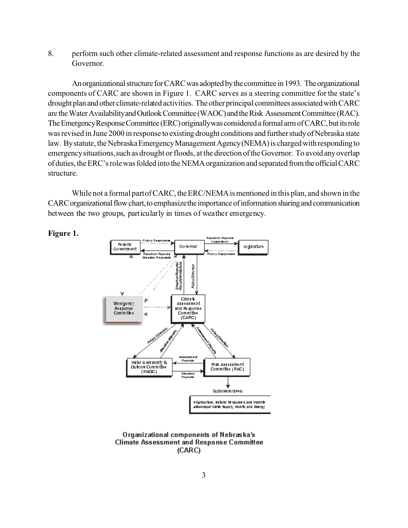8. perform such other climate-related assessment and response functions as are desired by the Governor.

An organizational structure for CARC was adopted by the committee in 1993. The organizational components of CARC are shown in Figure 1. CARC serves as a steering committee for the state's drought plan and other climate-related activities. The other principal committees associated with CARC are the Water Availability and Outlook Committee (WAOC) and the Risk Assessment Committee (RAC). The Emergency Response Committee (ERC) originally was considered a formal arm of CARC, but its role was revised in June 2000 in response to existing drought conditions and further study of Nebraska state law. By statute, the Nebraska Emergency Management Agency (NEMA) is charged with responding to emergency situations, such as drought or floods, at the direction of the Governor. To avoid any overlap of duties, the ERC's role was folded into the NEMA organization and separated from the official CARC structure.

While not a formal part of CARC, the ERC/NEMA is mentioned in this plan, and shown in the CARC organizational flow chart, to emphasize the importance of information sharing and communication between the two groups, particularly in times of weather emergency.





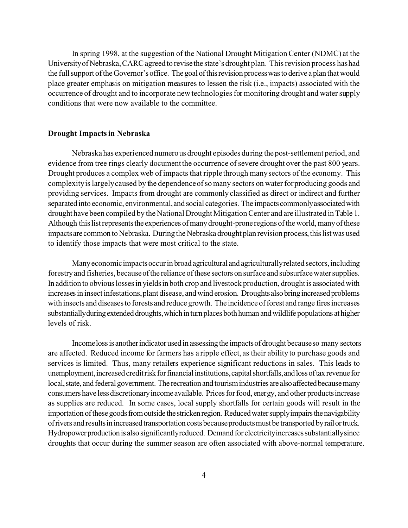In spring 1998, at the suggestion of the National Drought Mitigation Center (NDMC) at the University of Nebraska, CARC agreed to revise the state's drought plan. This revision process has had the full support of the Governor's office. The goal of this revision process was to derive a plan that would place greater emphasis on mitigation measures to lessen the risk (i.e., impacts) associated with the occurrence of drought and to incorporate new technologies for monitoring drought and water supply conditions that were now available to the committee.

#### **Drought Impacts in Nebraska**

Nebraska has experienced numerous drought episodes during the post-settlement period, and evidence from tree rings clearly document the occurrence of severe drought over the past 800 years. Drought produces a complex web of impacts that ripple through many sectors of the economy. This complexity is largely caused by the dependence of so many sectors on water for producing goods and providing services. Impacts from drought are commonly classified as direct or indirect and further separated into economic, environmental, and social categories. The impacts commonly associated with drought have been compiled by the National Drought Mitigation Center and are illustrated in Table 1. Although this list represents the experiences of many drought-prone regions of the world, many of these impacts are common to Nebraska. During the Nebraska drought plan revision process, this list was used to identify those impacts that were most critical to the state.

Many economic impacts occur in broad agricultural and agriculturally related sectors, including forestry and fisheries, because of the reliance of these sectors on surface and subsurface water supplies. In addition to obvious losses in yields in both crop and livestock production, drought is associated with increases in insect infestations, plant disease, and wind erosion. Droughts also bring increased problems with insects and diseases to forests and reduce growth. The incidence of forest and range fires increases substantially during extended droughts, which in turn places both human and wildlife populations at higher levels of risk.

 Incomelossis anotherindicator used in assessingthe impactsof drought becauseso many sectors are affected. Reduced income for farmers has a ripple effect, as their ability to purchase goods and services is limited. Thus, many retailers experience significant reductions in sales. This leads to unemployment, increased creditrisk for financial institutions, capital shortfalls, and loss of tax revenue for local, state, and federal government. The recreation and tourism industries are also affected because many consumershave lessdiscretionaryincomeavailable. Pricesforfood, energy, and other productsincrease as supplies are reduced. In some cases, local supply shortfalls for certain goods will result in the importation of these goods from outside the stricken region. Reduced water supply impairs the navigability of rivers and results in increased transportation costs because products must be transported by rail or truck. Hydropower production is also significantlyreduced. Demand for electricity increases substantially since droughts that occur during the summer season are often associated with above-normal temperature.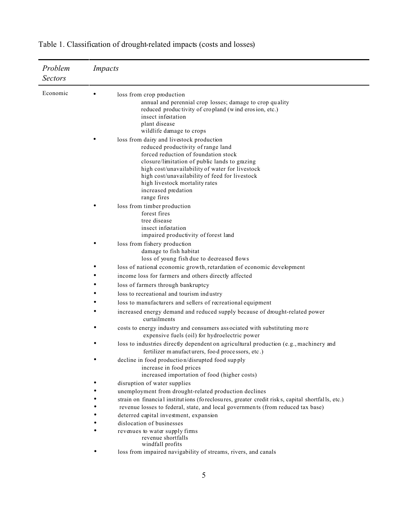| Problem<br><b>Sectors</b> | <i>Impacts</i>                                                                                                                                                                                                                                                                                                                                       |
|---------------------------|------------------------------------------------------------------------------------------------------------------------------------------------------------------------------------------------------------------------------------------------------------------------------------------------------------------------------------------------------|
| Economic                  | loss from crop production<br>annual and perennial crop losses; damage to crop quality<br>reduced productivity of cropland (wind erosion, etc.)<br>insect infestation<br>plant disease<br>wildlife damage to crops                                                                                                                                    |
|                           | loss from dairy and livestock production<br>reduced productivity of range land<br>forced reduction of foundation stock<br>closure/limitation of public lands to grazing<br>high cost/unavailability of water for livestock<br>high cost/unavailability of feed for livestock<br>high livestock mortality rates<br>increased predation<br>range fires |
|                           | loss from timber production<br>forest fires<br>tree disease<br>insect infestation<br>impaired productivity of forest land                                                                                                                                                                                                                            |
|                           | loss from fishery production<br>damage to fish habitat<br>loss of young fish due to decreased flows                                                                                                                                                                                                                                                  |
|                           | loss of national economic growth, retardation of economic development                                                                                                                                                                                                                                                                                |
|                           | income loss for farmers and others directly affected                                                                                                                                                                                                                                                                                                 |
|                           | loss of farmers through bankruptcy                                                                                                                                                                                                                                                                                                                   |
|                           | loss to recreational and tourism industry                                                                                                                                                                                                                                                                                                            |
|                           | loss to manufacturers and sellers of recreational equipment                                                                                                                                                                                                                                                                                          |
|                           | increased energy demand and reduced supply because of drought-related power<br>curtailments                                                                                                                                                                                                                                                          |
|                           | costs to energy industry and consumers associated with substituting more<br>expensive fuels (oil) for hydroelectric power                                                                                                                                                                                                                            |
|                           | loss to industries directly dependent on agricultural production (e.g., machinery and<br>fertilizer manufacturers, food processors, etc.)                                                                                                                                                                                                            |
|                           | decline in food production/disrupted food supply<br>increase in food prices<br>increased importation of food (higher costs)                                                                                                                                                                                                                          |
|                           | disruption of water supplies                                                                                                                                                                                                                                                                                                                         |
|                           | unemployment from drought-related production declines                                                                                                                                                                                                                                                                                                |
|                           | strain on financial institutions (foreclosures, greater credit risks, capital shortfalls, etc.)                                                                                                                                                                                                                                                      |
|                           | revenue losses to federal, state, and local governments (from reduced tax base)                                                                                                                                                                                                                                                                      |
|                           | deterred capital investment, expansion                                                                                                                                                                                                                                                                                                               |
|                           | dislocation of businesses                                                                                                                                                                                                                                                                                                                            |
|                           | revenues to water supply firms<br>revenue shortfalls<br>windfall profits                                                                                                                                                                                                                                                                             |
|                           | loss from impaired navigability of streams, rivers, and canals                                                                                                                                                                                                                                                                                       |

Table 1. Classification of drought-related impacts (costs and losses)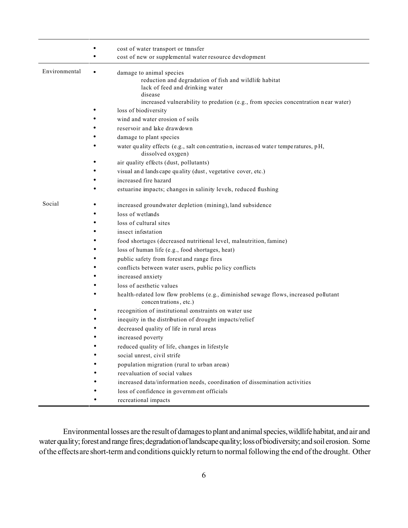|               |   | cost of water transport or transfer                                                                           |
|---------------|---|---------------------------------------------------------------------------------------------------------------|
|               |   | cost of new or supplemental water resource development                                                        |
|               |   |                                                                                                               |
| Environmental | ٠ | damage to animal species                                                                                      |
|               |   | reduction and degradation of fish and wildlife habitat<br>lack of feed and drinking water                     |
|               |   | disease                                                                                                       |
|               |   | increased vulnerability to predation (e.g., from species concentration near water)                            |
|               |   | loss of biodiversity                                                                                          |
|               |   | wind and water erosion of soils                                                                               |
|               |   | reservoir and lake drawdown                                                                                   |
|               |   | damage to plant species                                                                                       |
|               |   | water quality effects (e.g., salt concentration, increased water temperatures, pH,<br>dissolved oxygen)       |
|               |   | air quality effects (dust, pollutants)                                                                        |
|               |   | visual and lands cape quality (dust, vegetative cover, etc.)                                                  |
|               |   | increased fire hazard                                                                                         |
|               |   | estuarine impacts; changes in salinity levels, reduced flushing                                               |
| Social        |   | increased groundwater depletion (mining), land subsidence                                                     |
|               |   | loss of wetlands                                                                                              |
|               |   | loss of cultural sites                                                                                        |
|               |   | insect infestation                                                                                            |
|               |   | food shortages (decreased nutritional level, malnutrition, famine)                                            |
|               |   | loss of human life (e.g., food shortages, heat)                                                               |
|               |   | public safety from forest and range fires                                                                     |
|               |   | conflicts between water users, public policy conflicts                                                        |
|               |   | increased anxiety                                                                                             |
|               |   | loss of aesthetic values                                                                                      |
|               |   | health-related low flow problems (e.g., diminished sewage flows, increased pollutant<br>concentrations, etc.) |
|               |   | recognition of institutional constraints on water use                                                         |
|               |   | inequity in the distribution of drought impacts/relief                                                        |
|               |   | decreased quality of life in rural areas                                                                      |
|               |   | increased poverty                                                                                             |
|               |   | reduced quality of life, changes in lifestyle                                                                 |
|               |   | social unrest, civil strife                                                                                   |
|               |   | population migration (rural to urban areas)                                                                   |
|               |   | reevaluation of social values                                                                                 |
|               |   | increased data/information needs, coordination of dissemination activities                                    |
|               |   | loss of confidence in government officials                                                                    |
|               |   | recreational impacts                                                                                          |

Environmental losses are the result of damages to plant and animal species, wildlife habitat, and air and water quality; forest and range fires; degradation of landscape quality; loss of biodiversity; and soil erosion. Some of the effectsare short-term and conditions quickly return to normal following the end of the drought. Other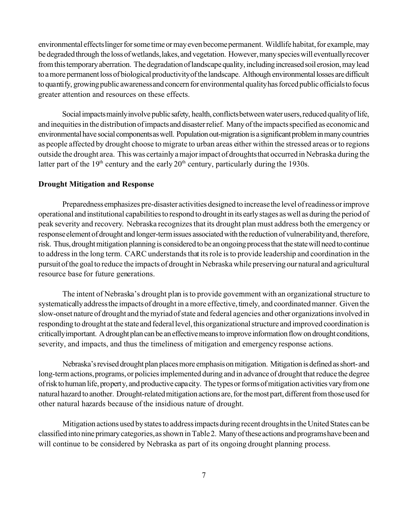environmental effects linger for some time or may even become permanent. Wildlife habitat, for example, may be degraded through the loss of wetlands, lakes, and vegetation. However, many species will eventually recover from this temporary aberration. The degradation of landscape quality, including increased soil erosion, may lead to a more permanent loss of biological productivity of the landscape. Although environmental losses are difficult to quantify, growing public awareness and concern for environmental quality has forced public officials to focus greater attention and resources on these effects.

Social impacts mainly involve public safety, health, conflicts between water users, reduced quality of life, and inequities in the distribution of impacts and disaster relief. Many of the impacts specified as economic and environmental have social components as well. Population out-migration is a significant problem in many countries as people affected by drought choose to migrate to urban areas either within the stressed areas or to regions outside the drought area. This was certainlyamajorimpact of droughtsthat occurred in Nebraska during the latter part of the  $19<sup>th</sup>$  century and the early  $20<sup>th</sup>$  century, particularly during the 1930s.

#### **Drought Mitigation and Response**

Preparednessemphasizes pre-disaster activities designedto increasethe level ofreadinessorimprove operational and institutional capabilitiesto respond to droughtin its earlystages aswell as during the period of peak severity and recovery. Nebraska recognizes that its drought plan must address both the emergency or response element of drought and longer-term issues associated with the reduction of vulnerability and, therefore, risk. Thus, drought mitigation planning is considered to be an ongoing process that the state will need to continue to address in the long term. CARC understands that its role is to provide leadership and coordination in the pursuitofthe goalto reduce the impacts of drought in Nebraska while preserving our natural and agricultural resource base for future generations.

The intent of Nebraska's drought plan is to provide government with an organizational structure to systematicallyaddressthe impactsof drought in a more effective, timely, and coordinatedmanner. Given the slow-onset nature of drought and themyriadofstate and federal agencies and other organizationsinvolved in responding to drought at the state and federal level, this organizational structure and improved coordination is critically important. A drought plan can be an effective means to improve information flow on drought conditions, severity, and impacts, and thus the timeliness of mitigation and emergency response actions.

Nebraska's revised drought plan places more emphasis on mitigation. Mitigation is defined as short-and long-term actions, programs, or policies implemented during and in advance of drought that reduce the degree of risk to human life, property, and productive capacity. The types or forms of mitigation activities vary from one natural hazard to another. Drought-related mitigation actions are, for the most part, different from those used for other natural hazards because of the insidious nature of drought.

Mitigation actions used by states to address impacts during recent droughts in the United States can be classifiedintonine primarycategories,asshown inTable2. Manyoftheseactions and programshavebeenand will continue to be considered by Nebraska as part of its ongoing drought planning process.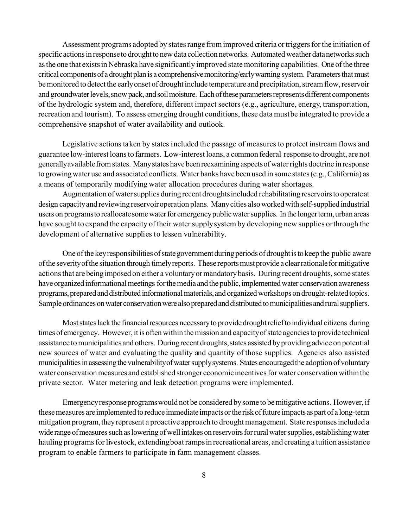Assessment programs adopted by states range from improved criteria or triggers for the initiation of specific actions in response to drought to new data collection networks. Automated weather data networks such as the one that exists in Nebraska have significantly improved state monitoring capabilities. One of the three critical components of a drought plan is a comprehensive monitoring/early warning system. Parameters that must be monitored to detect the early onset of drought include temperature and precipitation, stream flow, reservoir and groundwater levels, snow pack, and soil moisture. Each of these parameters represents different components of the hydrologic system and, therefore, different impact sectors (e.g., agriculture, energy, transportation, recreation and tourism). To assess emerging drought conditions, these data must be integrated to provide a comprehensive snapshot of water availability and outlook.

Legislative actions taken by states included the passage of measures to protect instream flows and guarantee low-interest loans to farmers. Low-interest loans, a common federal response to drought, are not generallyavailable from states. Many states have been reexamining aspects of water rights doctrine in response to growingwater use and associated conflicts. Water banks have been used in some states(e.g.,California) as a means of temporarily modifying water allocation procedures during water shortages.

Augmentation of water supplies during recent droughts included rehabilitating reservoirs to operate at design capacity and reviewing reservoir operation plans. Many cities also worked with self-supplied industrial users on programs to reallocate some water for emergency public water supplies. In the longer term, urban areas have sought to expand the capacity of their water supply system by developing new supplies or through the development of alternative supplies to lessen vulnerability.

One of the key responsibilities of state government during periods of drought is to keep the public aware ofthe severityofthe situation through timelyreports. These reportsmustprovide a clearrationaleformitigative actions that are being imposed on either a voluntary or mandatory basis. During recent droughts, some states have organized informational meetings for the media and the public, implemented water conservation awareness programs, prepared and distributed informational materials, and organized workshops on drought-related topics. Sample ordinances on water conservation were also prepared and distributed to municipalities and rural suppliers.

Most states lack the financial resources necessary to provide drought relief to individual citizens during times of emergency. However, it is often within the mission and capacity of state agencies to provide technical assistance to municipalities and others. During recent droughts, states assisted by providing advice on potential new sources of water and evaluating the quality and quantity of those supplies. Agencies also assisted municipalities in assessing the vulnerability of water supply systems. States encouraged the adoption of voluntary water conservation measures and established stronger economic incentives for water conservation within the private sector. Water metering and leak detection programs were implemented.

Emergencyresponseprogramswouldnot be considered bysome to bemitigative actions. However,if these measures are implemented to reduce immediate impacts or the risk of future impacts as part of a long-term mitigation program, they represent a proactive approach to drought management. State responses included a wide range of measures such as lowering of well intakes on reservoirs for rural water supplies, establishing water hauling programs for livestock, extending boat ramps in recreational areas, and creating a tuition assistance program to enable farmers to participate in farm management classes.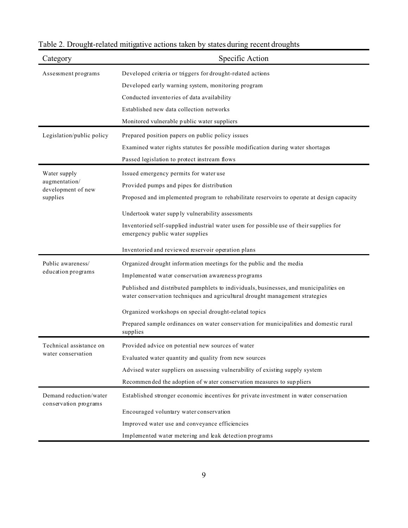| Category                                        | Specific Action                                                                                                                                                       |
|-------------------------------------------------|-----------------------------------------------------------------------------------------------------------------------------------------------------------------------|
| Assessment programs                             | Developed criteria or triggers for drought-related actions                                                                                                            |
|                                                 | Developed early warning system, monitoring program                                                                                                                    |
|                                                 | Conducted inventories of data availability                                                                                                                            |
|                                                 | Established new data collection networks                                                                                                                              |
|                                                 | Monitored vulnerable public water suppliers                                                                                                                           |
| Legislation/public policy                       | Prepared position papers on public policy issues                                                                                                                      |
|                                                 | Examined water rights statutes for possible modification during water shortages                                                                                       |
|                                                 | Passed legislation to protect instream flows                                                                                                                          |
| Water supply                                    | Issued emergency permits for water use                                                                                                                                |
| augmentation/<br>development of new             | Provided pumps and pipes for distribution                                                                                                                             |
| supplies                                        | Proposed and implemented program to rehabilitate reservoirs to operate at design capacity                                                                             |
|                                                 | Undertook water supply vulnerability assessments                                                                                                                      |
|                                                 | Inventoried self-supplied industrial water users for possible use of their supplies for<br>emergency public water supplies                                            |
|                                                 | Inventoried and reviewed reservoir operation plans                                                                                                                    |
| Public awareness/                               | Organized drought information meetings for the public and the media                                                                                                   |
| education programs                              | Implemented water conservation awareness programs                                                                                                                     |
|                                                 | Published and distributed pamphlets to individuals, businesses, and municipalities on<br>water conservation techniques and agricultural drought management strategies |
|                                                 | Organized workshops on special drought-related topics                                                                                                                 |
|                                                 | Prepared sample ordinances on water conservation for municipalities and domestic rural<br>supplies                                                                    |
| Technical assistance on                         | Provided advice on potential new sources of water                                                                                                                     |
| water conservation                              | Evaluated water quantity and quality from new sources                                                                                                                 |
|                                                 | Advised water suppliers on assessing vulnerability of existing supply system                                                                                          |
|                                                 | Recommended the adoption of water conservation measures to suppliers                                                                                                  |
| Demand reduction/water<br>conservation programs | Established stronger economic incentives for private investment in water conservation                                                                                 |
|                                                 | Encouraged voluntary water conservation                                                                                                                               |
|                                                 | Improved water use and conveyance efficiencies                                                                                                                        |
|                                                 | Implemented water metering and leak detection programs                                                                                                                |

# Table 2. Drought-related mitigative actions taken by states during recent droughts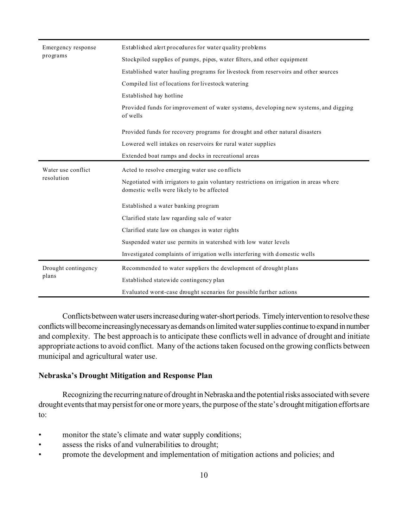| Emergency response  | Established alert procedures for water quality problems                                                                             |  |  |  |  |
|---------------------|-------------------------------------------------------------------------------------------------------------------------------------|--|--|--|--|
| programs            | Stockpiled supplies of pumps, pipes, water filters, and other equipment                                                             |  |  |  |  |
|                     | Established water hauling programs for livestock from reservoirs and other sources                                                  |  |  |  |  |
|                     | Compiled list of locations for livestock watering                                                                                   |  |  |  |  |
|                     | Established hay hotline                                                                                                             |  |  |  |  |
|                     | Provided funds for improvement of water systems, developing new systems, and digging<br>of wells                                    |  |  |  |  |
|                     | Provided funds for recovery programs for drought and other natural disasters                                                        |  |  |  |  |
|                     | Lowered well intakes on reservoirs for rural water supplies                                                                         |  |  |  |  |
|                     | Extended boat ramps and docks in recreational areas                                                                                 |  |  |  |  |
| Water use conflict  | Acted to resolve emerging water use conflicts                                                                                       |  |  |  |  |
| resolution          | Negotiated with irrigators to gain voluntary restrictions on irrigation in areas where<br>domestic wells were likely to be affected |  |  |  |  |
|                     | Established a water banking program                                                                                                 |  |  |  |  |
|                     | Clarified state law regarding sale of water                                                                                         |  |  |  |  |
|                     | Clarified state law on changes in water rights                                                                                      |  |  |  |  |
|                     | Suspended water use permits in watershed with low water levels                                                                      |  |  |  |  |
|                     | Investigated complaints of irrigation wells interfering with domestic wells                                                         |  |  |  |  |
| Drought contingency | Recommended to water suppliers the development of drought plans                                                                     |  |  |  |  |
| plans               | Established statewide contingency plan                                                                                              |  |  |  |  |
|                     | Evaluated worst-case drought scenarios for possible further actions                                                                 |  |  |  |  |

Conflicts between water users increase during water-short periods. Timely intervention to resolve these conflicts will become increasinglynecessary as demands on limited water supplies continue to expand in number and complexity. The best approach is to anticipate these conflicts well in advance of drought and initiate appropriate actions to avoid conflict. Many of the actions taken focused on the growing conflicts between municipal and agricultural water use.

## **Nebraska's Drought Mitigation and Response Plan**

Recognizing the recurring nature of drought in Nebraska and the potential risks associated with severe drought events that may persist for one or more years, the purpose of the state's drought mitigation efforts are to:

- monitor the state's climate and water supply conditions;
- assess the risks of and vulnerabilities to drought;
- promote the development and implementation of mitigation actions and policies; and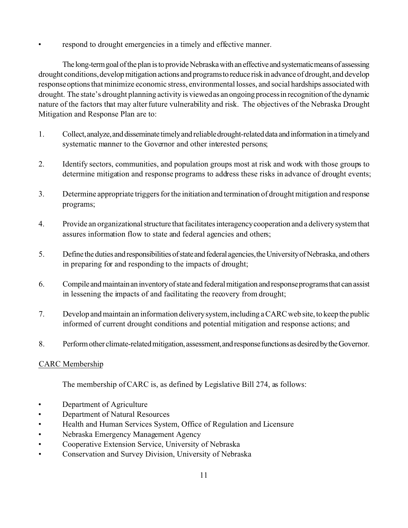respond to drought emergencies in a timely and effective manner.

The long-term goal of the plan is to provide Nebraska with an effective and systematic means of assessing drought conditions, develop mitigation actions and programs to reduce risk in advance of drought, and develop responseoptionsthat minimize economic stress, environmental losses, and social hardships associatedwith drought. The state's drought planning activity is viewed as an ongoing process in recognition of the dynamic nature of the factors that may alter future vulnerability and risk. The objectives of the Nebraska Drought Mitigation and Response Plan are to:

- 1. Collect,analyze,anddisseminate timelyand reliabledrought-relateddata andinformationina timelyand systematic manner to the Governor and other interested persons;
- 2. Identify sectors, communities, and population groups most at risk and work with those groups to determine mitigation and response programs to address these risks in advance of drought events;
- 3. Determine appropriate triggers for the initiation and termination of drought mitigation and response programs;
- 4. Provide an organizationalstructure thatfacilitatesinteragencycooperation and a deliverysystemthat assures information flow to state and federal agencies and others;
- 5. Define the duties andresponsibilitiesofstateandfederalagencies,theUniversityofNebraska, and others in preparing for and responding to the impacts of drought;
- 6. Compileandmaintainan inventoryofstateand federalmitigation and responseprogramsthat canassist in lessening the impacts of and facilitating the recovery from drought;
- 7. Develop and maintain an information delivery system, including a CARC web site, to keep the public informed of current drought conditions and potential mitigation and response actions; and
- 8. Perform other climate-related mitigation, assessment, and response functions as desired by the Governor.

# CARC Membership

The membership of CARC is, as defined by Legislative Bill 274, as follows:

- Department of Agriculture
- Department of Natural Resources
- Health and Human Services System, Office of Regulation and Licensure
- Nebraska Emergency Management Agency
- Cooperative Extension Service, University of Nebraska
- Conservation and Survey Division, University of Nebraska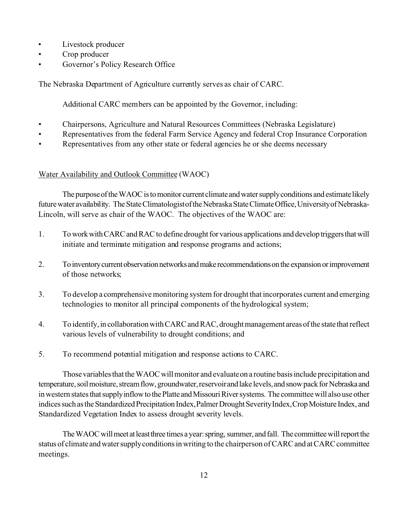- Livestock producer
- Crop producer
- Governor's Policy Research Office

The Nebraska Department of Agriculture currently serves as chair of CARC.

Additional CARC members can be appointed by the Governor, including:

- Chairpersons, Agriculture and Natural Resources Committees (Nebraska Legislature)
- Representatives from the federal Farm Service Agency and federal Crop Insurance Corporation
- Representatives from any other state or federal agencies he or she deems necessary

# Water Availability and Outlook Committee (WAOC)

The purpose of the WAOC is to monitor current climate and water supply conditions and estimate likely future water availability. The State Climatologist of the Nebraska State Climate Office, University of Nebraska-Lincoln, will serve as chair of the WAOC. The objectives of the WAOC are:

- 1. To work with CARC and RAC to define drought for various applications and develop triggers that will initiate and terminate mitigation and response programs and actions;
- 2. To inventory current observation networks and make recommendations on the expansion or improvement of those networks;
- 3. To develop a comprehensive monitoring system for drought that incorporates current and emerging technologies to monitor all principal components of the hydrological system;
- 4. To identify, in collaboration with CARC and RAC, drought management areas of the state that reflect various levels of vulnerability to drought conditions; and
- 5. To recommend potential mitigation and response actions to CARC.

Those variables that the WAOC will monitor and evaluate on a routine basis include precipitation and temperature, soil moisture, stream flow, groundwater, reservoir and lake levels, and snow pack for Nebraska and in western states that supply inflow to the Platte and Missouri River systems. The committee will also use other indices such as the Standardized Precipitation Index, Palmer Drought Severity Index, Crop Moisture Index, and Standardized Vegetation Index to assess drought severity levels.

The WAOC will meet at least three times a year: spring, summer, and fall. The committee will report the status of climate and water supply conditions in writing to the chairperson of CARC and at CARC committee meetings.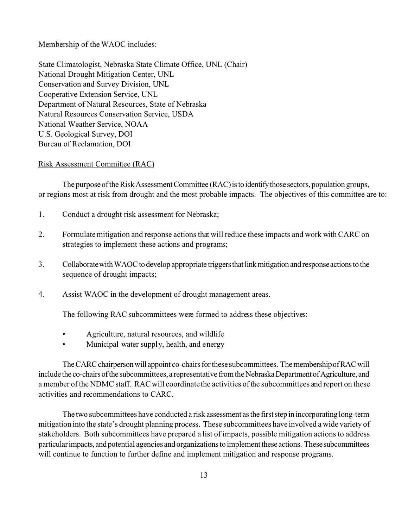Membership of the WAOC includes:

State Climatologist, Nebraska State Climate Office, UNL (Chair) National Drought Mitigation Center, UNL Conservation and Survey Division, UNL Cooperative Extension Service, UNL Department of Natural Resources, State of Nebraska Natural Resources Conservation Service, USDA National Weather Service, NOAA U.S. Geological Survey, DOI Bureau of Reclamation, DOI

#### Risk Assessment Committee (RAC)

The purpose of the Risk Assessment Committee (RAC) is to identify those sectors, population groups, or regions most at risk from drought and the most probable impacts. The objectives of this committee are to:

- 1. Conduct a drought risk assessment for Nebraska;
- 2. Formulate mitigation and response actions that will reduce these impacts and work with CARC on strategies to implement these actions and programs;
- 3. Collaborate with WAOC to develop appropriate triggers that link mitigation and response actions to the sequence of drought impacts;
- 4. Assist WAOC in the development of drought management areas.

The following RAC subcommittees were formed to address these objectives:

- Agriculture, natural resources, and wildlife
- Municipal water supply, health, and energy

The CARC chairperson will appoint co-chairs for these subcommittees. The membership of RAC will include the co-chairs of the subcommittees, a representative from the Nebraska Department of Agriculture, and a member of the NDMC staff. RAC will coordinate the activities of the subcommittees and report on these activities and recommendations to CARC.

The two subcommittees have conducted a risk assessment asthe firststep in incorporatinglong-term mitigation into the state's drought planning process. These subcommittees have involved a wide variety of stakeholders. Both subcommittees have prepared a list of impacts, possible mitigation actions to address particular impacts, and potential agencies and organizations to implement these actions. These subcommittees will continue to function to further define and implement mitigation and response programs.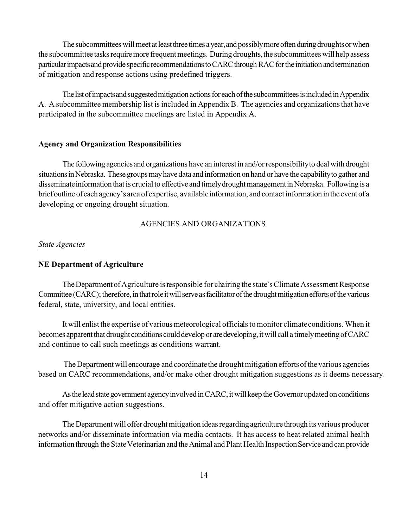The subcommittees will meet at least three times a year, and possibly more often during droughts or when the subcommittee tasks require more frequent meetings. During droughts, the subcommittees will help assess particular impacts and provide specific recommendations to CARC through RAC for the initiation and termination of mitigation and response actions using predefined triggers.

The list of impacts and suggested mitigation actions for each of the subcommittees is included in Appendix A. A subcommittee membership list is included in Appendix B. The agencies and organizations that have participated in the subcommittee meetings are listed in Appendix A.

#### **Agency and Organization Responsibilities**

The followingagenciesand organizations have an interestin and/orresponsibilityto dealwith drought situations in Nebraska. These groups may have data and information on hand or have the capability to gather and disseminate information that is crucial to effective and timely drought management in Nebraska. Following is a briefoutline of eachagency'sarea of expertise, availableinformation, and contactinformation in the eventof a developing or ongoing drought situation.

## AGENCIES AND ORGANIZATIONS

#### *State Agencies*

#### **NE Department of Agriculture**

The Department of Agriculture is responsible for chairing the state's Climate Assessment Response Committee (CARC); therefore, in that role it will serve as facilitator of the drought mitigation efforts of the various federal, state, university, and local entities.

It will enlist the expertise of various meteorological officials to monitor climate conditions. When it becomes apparent that drought conditions could develop or are developing, it will call a timely meeting of CARC and continue to call such meetings as conditions warrant.

The Department will encourage and coordinate the drought mitigation efforts of the various agencies based on CARC recommendations, and/or make other drought mitigation suggestions as it deems necessary.

As the lead state government agency involved in CARC, it will keep the Governor updated on conditions and offer mitigative action suggestions.

The Department will offer drought mitigation ideas regarding agriculture through its various producer networks and/or disseminate information via media contacts. It has access to heat-related animal health information through the State Veterinarian and the Animal and Plant Health Inspection Service and can provide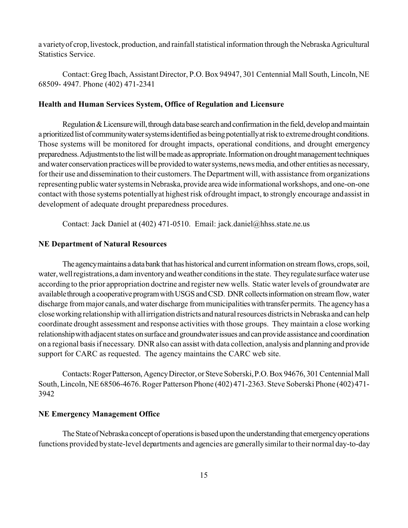a variety of crop, livestock, production, and rainfall statistical information through the Nebraska Agricultural Statistics Service.

Contact: Greg Ibach, Assistant Director, P.O. Box 94947, 301 Centennial Mall South, Lincoln, NE 68509- 4947. Phone (402) 471-2341

#### **Health and Human Services System, Office of Regulation and Licensure**

Regulation  $&$  Licensure will, through data base search and confirmation in the field, develop and maintain a prioritized list of community water systems identified as being potentially at risk to extreme drought conditions. Those systems will be monitored for drought impacts, operational conditions, and drought emergency preparedness. Adjustments to the list will be made as appropriate. Information on drought management techniques and water conservation practices will be provided to water systems, news media, and other entities as necessary, for their use and dissemination to their customers. The Department will, with assistance from organizations representing public water systems in Nebraska, provide area wide informational workshops, and one-on-one contact with those systems potentially at highest risk of drought impact, to strongly encourage and assist in development of adequate drought preparedness procedures.

Contact: Jack Daniel at (402) 471-0510. Email: jack.daniel@hhss.state.ne.us

#### **NE Department of Natural Resources**

The agency maintains a data bank that has historical and current information on stream flows, crops, soil, water, well registrations, a dam inventory and weather conditions in the state. They regulate surface water use according to the prior appropriation doctrine and register new wells. Static water levels of groundwater are available through a cooperative program with USGS and CSD. DNR collects information on stream flow, water discharge from major canals, and water discharge from municipalities with transfer permits. The agency has a close working relationship with all irrigation districts and natural resources districts in Nebraska and can help coordinate drought assessment and response activities with those groups. They maintain a close working relationship with adjacent states on surface and groundwater issues and can provide assistance and coordination on a regional basis if necessary. DNR also can assist with data collection, analysis and planning and provide support for CARC as requested. The agency maintains the CARC web site.

Contacts: Roger Patterson, Agency Director, or Steve Soberski, P.O. Box 94676, 301 Centennial Mall South, Lincoln, NE 68506-4676. Roger Patterson Phone (402) 471-2363. Steve Soberski Phone (402) 471- 3942

## **NE Emergency Management Office**

The State of Nebraska concept of operations is based upon the understanding that emergency operations functions provided by state-level departments and agencies are generally similar to their normal day-to-day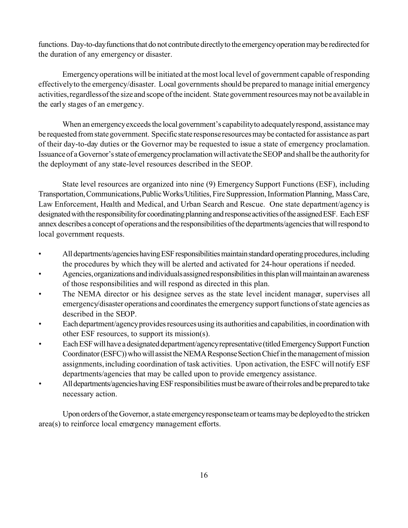functions. Day-to-day functions that do not contribute directly to the emergency operation may be redirected for the duration of any emergency or disaster.

Emergency operations will be initiated at the most local level of government capable of responding effectively to the emergency/disaster. Local governments should be prepared to manage initial emergency activities, regardless of the size and scope of the incident. State government resources may not be available in the early stages of an emergency.

When an emergency exceeds the local government's capability to adequately respond, assistance may be requested from state government. Specific state response resources may be contacted for assistance as part of their day-to-day duties or the Governor may be requested to issue a state of emergency proclamation. Issuanceof aGovernor'sstateof emergencyproclamationwill activatetheSEOP and shallbe the authorityfor the deployment of any state-level resources described in the SEOP.

State level resources are organized into nine (9) Emergency Support Functions (ESF), including Transportation, Communications, Public Works/Utilities, Fire Suppression, Information Planning, Mass Care, Law Enforcement, Health and Medical, and Urban Search and Rescue. One state department/agency is designated with the responsibility for coordinating planning and response activities of the assigned ESF. Each ESF annex describes a concept of operations and the responsibilities of the departments/agencies that will respond to local government requests.

- All departments/agencies having ESF responsibilities maintain standard operating procedures, including the procedures by which they will be alerted and activated for 24-hour operations if needed.
- Agencies, organizations and individuals assigned responsibilities in this plan will maintain an awareness of those responsibilities and will respond as directed in this plan.
- The NEMA director or his designee serves as the state level incident manager, supervises all emergency/disaster operations and coordinates the emergency support functions of state agencies as described in the SEOP.
- Each department/agency provides resources using its authorities and capabilities, in coordination with other ESF resources, to support its mission(s).
- Each ESF will have a designated department/agency representative (titled Emergency Support Function Coordinator (ESFC)) who will assist the NEMA Response Section Chief in the management of mission assignments, including coordination of task activities. Upon activation, the ESFC will notify ESF departments/agencies that may be called upon to provide emergency assistance.
- All departments/agencies having ESF responsibilities must be aware of their roles and be prepared to take necessary action.

Upon orders of the Governor, a state emergency response team or teams may be deployed to the stricken area(s) to reinforce local emergency management efforts.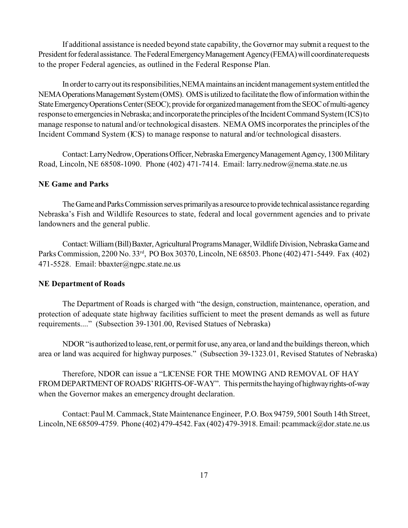If additional assistance is needed beyond state capability, the Governor may submit a request to the President for federal assistance. The Federal Emergency Management Agency (FEMA) will coordinate requests to the proper Federal agencies, as outlined in the Federal Response Plan.

In order to carry out its responsibilities, NEMA maintains an incident management system entitled the NEMA Operations Management System (OMS). OMS is utilized to facilitate the flow of information within the State Emergency Operations Center (SEOC); provide for organized management from the SEOC of multi-agency response to emergencies in Nebraska; and incorporate the principles of the Incident Command System (ICS) to manage response to natural and/or technological disasters. NEMA OMS incorporates the principles of the Incident Command System (ICS) to manage response to natural and/or technological disasters.

Contact: Larry Nedrow, Operations Officer, Nebraska Emergency Management Agency, 1300 Military Road, Lincoln, NE 68508-1090. Phone (402) 471-7414. Email: larry.nedrow@nema.state.ne.us

#### **NE Game and Parks**

The Game and Parks Commission serves primarily as a resource to provide technical assistance regarding Nebraska's Fish and Wildlife Resources to state, federal and local government agencies and to private landowners and the general public.

Contact: William (Bill)Baxter, Agricultural Programs Manager, Wildlife Division, Nebraska Game and Parks Commission, 2200 No. 33rd, PO Box 30370, Lincoln, NE 68503. Phone (402) 471-5449. Fax (402) 471-5528. Email: bbaxter@ngpc.state.ne.us

## **NE Department of Roads**

The Department of Roads is charged with "the design, construction, maintenance, operation, and protection of adequate state highway facilities sufficient to meet the present demands as well as future requirements...." (Subsection 39-1301.00, Revised Statues of Nebraska)

NDOR "is authorized to lease, rent, or permit for use, any area, or land and the buildings thereon, which area or land was acquired for highway purposes." (Subsection 39-1323.01, Revised Statutes of Nebraska)

Therefore, NDOR can issue a "LICENSE FOR THE MOWING AND REMOVAL OF HAY FROM DEPARTMENT OF ROADS' RIGHTS-OF-WAY". This permits the haying of highway rights-of-way when the Governor makes an emergency drought declaration.

Contact: Paul M. Cammack, State Maintenance Engineer, P.O.Box 94759, 5001 South 14th Street, Lincoln, NE 68509-4759. Phone (402) 479-4542.Fax (402) 479-3918. Email: pcammack@dor.state.ne.us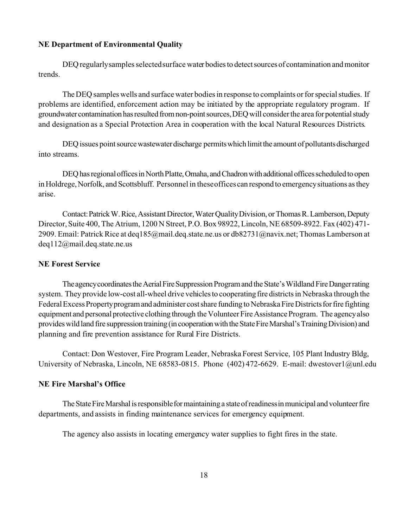#### **NE Department of Environmental Quality**

DEQ regularly samples selected surface water bodies to detect sources of contamination and monitor trends.

The DEQ samples wells and surface water bodies in response to complaints or for special studies. If problems are identified, enforcement action may be initiated by the appropriate regulatory program. If groundwater contamination has resulted from non-point sources, DEQ will consider the area for potential study and designation as a Special Protection Area in cooperation with the local Natural Resources Districts.

DEQ issues point source wastewater discharge permits which limit the amount of pollutants discharged into streams.

DEO has regional offices in North Platte, Omaha, and Chadron with additional offices scheduled to open in Holdrege, Norfolk, and Scottsbluff. Personnel in these offices can respond to emergency situations as they arise.

Contact:PatrickW.Rice,AssistantDirector,WaterQualityDivision, orThomasR.Lamberson,Deputy Director, Suite 400, The Atrium, 1200 N Street, P.O. Box 98922, Lincoln, NE 68509-8922. Fax (402) 471- 2909. Email: Patrick Rice at deq185@mail.deq.state.ne.us or db82731@navix.net; Thomas Lamberson at deq112@mail.deq.state.ne.us

## **NE Forest Service**

The agency coordinates the Aerial Fire Suppression Program and the State's Wildland Fire Danger rating system. They provide low-cost all-wheel drive vehicles to cooperating fire districts in Nebraska through the Federal Excess Property program and administer cost share funding to Nebraska Fire Districts for fire fighting equipment and personal protective clothing through the Volunteer Fire Assistance Program. The agency also provides wild land fire suppression training (in cooperation with the State Fire Marshal's Training Division) and planning and fire prevention assistance for Rural Fire Districts.

Contact: Don Westover, Fire Program Leader, Nebraska Forest Service, 105 Plant Industry Bldg, University of Nebraska, Lincoln, NE 68583-0815. Phone (402) 472-6629. E-mail: dwestover1@unl.edu

#### **NE Fire Marshal's Office**

The State Fire Marshal is responsible for maintaining a state of readiness in municipal and volunteer fire departments, and assists in finding maintenance services for emergency equipment.

The agency also assists in locating emergency water supplies to fight fires in the state.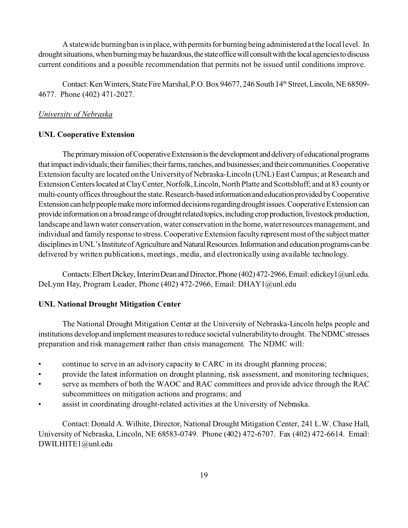A statewide burning ban is in place, with permits for burning being administered at the local level. In drought situations, when burning may be hazardous, the state office will consult with the local agencies to discuss current conditions and a possible recommendation that permits not be issued until conditions improve.

Contact: Ken Winters, State Fire Marshal, P.O. Box 94677, 246 South 14<sup>th</sup> Street, Lincoln, NE 68509-4677. Phone (402) 471-2027.

## *University of Nebraska*

#### **UNL Cooperative Extension**

The primary mission of Cooperative Extension is the development and delivery of educational programs that impact individuals; their families; their farms, ranches, and businesses; and their communities. Cooperative Extension faculty are located on the University of Nebraska-Lincoln (UNL) East Campus; at Research and ExtensionCenterslocated atClayCenter,Norfolk,Lincoln, North Platte and Scottsbluff; and at 83 countyor multi-county offices throughout the state. Research-based information and education provided by Cooperative Extension can help people make more informed decisions regarding drought issues. Cooperative Extension can provide information on a broad range of drought related topics, including crop production, livestock production, landscape and lawn water conservation, water conservation in the home, water resources management, and individual and family response to stress. Cooperative Extension faculty represent most of the subjectmatter disciplines in UNL's Institute of Agriculture and Natural Resources. Information and education programs can be delivered by written publications, meetings, media, and electronically using available technology.

Contacts: Elbert Dickey, Interim Dean and Director, Phone (402) 472-2966, Email: edickey1@unl.edu. DeLynn Hay, Program Leader, Phone (402) 472-2966, Email: DHAY1@unl.edu

## **UNL National Drought Mitigation Center**

The National Drought Mitigation Center at the University of Nebraska-Lincoln helps people and institutions develop and implement measures to reduce societal vulnerability to drought. The NDMC stresses preparation and risk management rather than crisis management. The NDMC will:

- continue to serve in an advisory capacity to CARC in its drought planning process;
- provide the latest information on drought planning, risk assessment, and monitoring techniques;
- serve as members of both the WAOC and RAC committees and provide advice through the RAC subcommittees on mitigation actions and programs; and
- assist in coordinating drought-related activities at the University of Nebraska.

Contact: Donald A. Wilhite, Director, National Drought Mitigation Center, 241 L.W. Chase Hall, University of Nebraska, Lincoln, NE 68583-0749. Phone (402) 472-6707. Fax (402) 472-6614. Email: DWILHITE1@unl.edu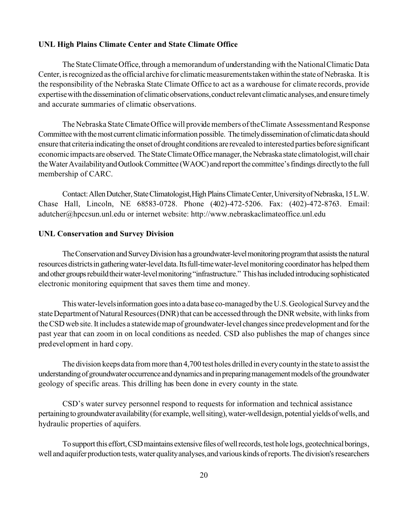## **UNL High Plains Climate Center and State Climate Office**

The State Climate Office, through a memorandum of understanding with the National Climatic Data Center, is recognized as the official archive for climatic measurements taken within the state of Nebraska. It is the responsibility of the Nebraska State Climate Office to act as a warehouse for climate records, provide expertisewith the dissemination of climaticobservations,conductrelevant climaticanalyses,and ensure timely and accurate summaries of climatic observations.

The Nebraska State Climate Office will provide members of the Climate Assessment and Response Committee with the most current climatic information possible. The timely dissemination of climatic data should ensure that criteria indicating the onset of drought conditions are revealed to interested parties before significant economic impacts are observed. The State Climate Office manager, the Nebraska state climatologist, will chair the Water Availability and Outlook Committee (WAOC) and report the committee's findings directly to the full membership of CARC.

Contact: Allen Dutcher, State Climatologist, High Plains Climate Center, University of Nebraska, 15 L.W. Chase Hall, Lincoln, NE 68583-0728. Phone (402)-472-5206. Fax: (402)-472-8763. Email: adutcher@hpccsun.unl.edu or internet website: http://www.nebraskaclimateoffice.unl.edu

#### **UNL Conservation and Survey Division**

The Conservation and Survey Division has a groundwater-level monitoring program that assists the natural resources districts in gathering water-level data. Its full-time water-level monitoring coordinator has helped them and other groups rebuild their water-level monitoring "infrastructure." This has included introducing sophisticated electronic monitoring equipment that saves them time and money.

This water-levels information goes into a data base co-managed by the U.S. Geological Survey and the state Department of Natural Resources (DNR) that can be accessed through the DNR website, with links from theCSDweb site.Itincludes a statewidemap of groundwater-levelchangessince predevelopment and forthe past year that can zoom in on local conditions as needed. CSD also publishes the map of changes since predevelopment in hard copy.

The division keeps data frommore than 4,700 test holes drilled in everycountyin the state to assistthe understanding of groundwater occurrence and dynamics and in preparing management models of the groundwater geology of specific areas. This drilling has been done in every county in the state.

CSD's water survey personnel respond to requests for information and technical assistance pertaining to groundwater availability (for example, well siting), water-well design, potential yields of wells, and hydraulic properties of aquifers.

To support this effort, CSD maintains extensive files of well records, test hole logs, geotechnical borings, well and aquifer production tests, water quality analyses, and various kinds of reports. The division's researchers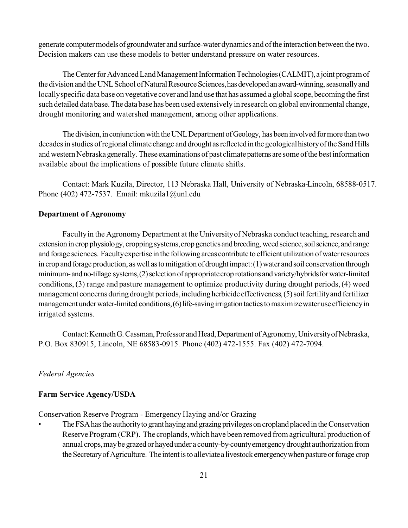generate computer models of groundwater and surface-water dynamics and of the interaction between the two. Decision makers can use these models to better understand pressure on water resources.

The Center for Advanced Land Management Information Technologies (CALMIT), a joint program of the division and the UNL School of Natural Resource Sciences, has developed an award-winning, seasonally and locallyspecific data base on vegetative cover and land use that has assumed a globalscope, becoming the first such detailed database. The database has been used extensively in research on global environmental change, drought monitoring and watershed management, among other applications.

The division, in conjunction with the UNL Department of Geology, has been involved for more than two decades in studies of regional climate change and drought as reflected in the geological history of the Sand Hills and western Nebraska generally. These examinations of past climate patterns are some of the best information available about the implications of possible future climate shifts.

Contact: Mark Kuzila, Director, 113 Nebraska Hall, University of Nebraska-Lincoln, 68588-0517. Phone (402) 472-7537. Email: mkuzila1@unl.edu

## **Department of Agronomy**

Faculty in the Agronomy Department at the University of Nebraska conduct teaching, research and extension in crop physiology, cropping systems, crop genetics and breeding, weed science, soil science, and range and forage sciences. Faculty expertise in the following areas contribute to efficient utilization of water resources in crop and forage production, as well as to mitigation of drought impact: (1) water and soil conservation through minimum-and no-tillage systems, (2) selection of appropriate crop rotations and variety/hybrids for water-limited conditions, (3) range and pasture management to optimize productivity during drought periods, (4) weed management concerns during drought periods, including herbicide effectiveness, (5) soil fertility and fertilizer management under water-limited conditions, (6) life-saving irrigation tactics to maximize water use efficiency in irrigated systems.

Contact: Kenneth G. Cassman, Professor and Head, Department of Agronomy, University of Nebraska, P.O. Box 830915, Lincoln, NE 68583-0915. Phone (402) 472-1555. Fax (402) 472-7094.

## *Federal Agencies*

#### **Farm Service Agency/USDA**

Conservation Reserve Program - Emergency Haying and/or Grazing

The FSA has the authority to grant haying and grazing privileges on cropland placed in the Conservation Reserve Program (CRP). The croplands, which have been removed from agricultural production of annual crops,maybe grazedor hayedunder a county-by-countyemergencydrought authorization from the Secretary of Agriculture. The intent is to alleviate a livestock emergency when pasture or forage crop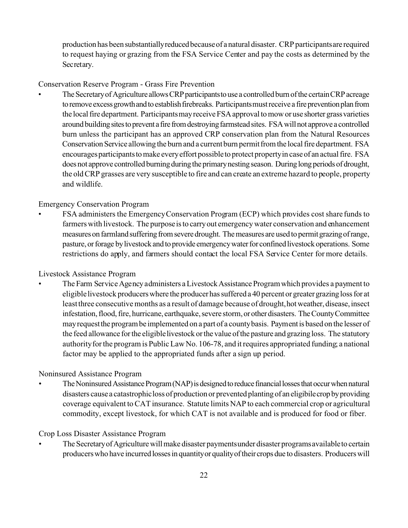production has been substantiallyreducedbecauseof a natural disaster. CRP participantsare required to request haying or grazing from the FSA Service Center and pay the costs as determined by the Secretary.

## Conservation Reserve Program - Grass Fire Prevention

The Secretary of Agriculture allows CRP participants to use a controlled burn of the certain CRP acreage to remove excess growth and to establish firebreaks. Participants must receive a fire prevention plan from the local fire department. Participants may receive FSA approval to mow or use shorter grass varieties around building sites to prevent a fire from destroying farmstead sites. FSA will not approve a controlled burn unless the participant has an approved CRP conservation plan from the Natural Resources Conservation Service allowing the burn and a current burn permit from the local fire department. FSA encourages participants to make every effort possible to protect property in case of an actual fire. FSA does not approve controlled burning during the primary nesting season. During long periods of drought, the old CRP grasses are very susceptible to fire and can create an extreme hazard to people, property and wildlife.

## Emergency Conservation Program

• FSA administers the Emergency Conservation Program (ECP) which provides cost share funds to farmers with livestock. The purpose is to carry out emergency water conservation and enhancement measures on farmland suffering from severe drought. The measures are used to permit grazing of range, pasture, or forage by livestock and to provide emergency water for confined livestock operations. Some restrictions do apply, and farmers should contact the local FSA Service Center for more details.

## Livestock Assistance Program

The Farm Service Agency administers a Livestock Assistance Program which provides a payment to eligible livestock producers where the producer has suffered a 40 percent or greater grazing loss for at least three consecutive months as a result of damage because of drought, hot weather, disease, insect infestation, flood, fire, hurricane, earthquake, severe storm, or other disasters. The County Committee mayrequestthe programbe implemented on a part of a countybasis. Paymentis based on the lesser of the feed allowance for the eligible livestock or the value of the pasture and grazing loss. The statutory authority for the program is Public Law No. 106-78, and it requires appropriated funding; a national factor may be applied to the appropriated funds after a sign up period.

## Noninsured Assistance Program

The Noninsured Assistance Program (NAP) is designed to reduce financial losses that occur when natural disasters causea catastrophicloss of production or prevented planting of an eligibilecropbyproviding coverage equivalent to CAT insurance. Statute limits NAP to each commercial crop or agricultural commodity, except livestock, for which CAT is not available and is produced for food or fiber.

## Crop Loss Disaster Assistance Program

The Secretary of Agriculture will make disaster payments under disaster programs available to certain producers who have incurred losses in quantity or quality of their crops due to disasters. Producers will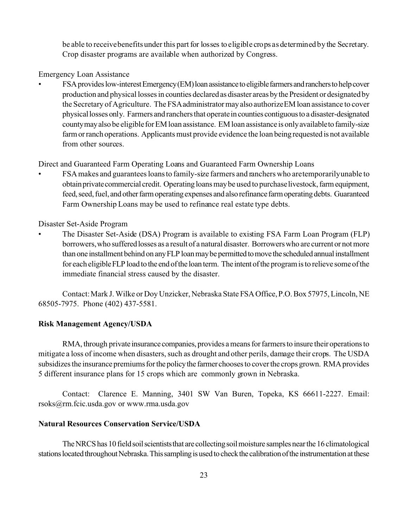be able to receive benefits under this part for losses to eligible crops as determined by the Secretary. Crop disaster programs are available when authorized by Congress.

Emergency Loan Assistance

FSA provides low-interest Emergency(EM) loan assistance to eligible farmers and ranchers to help cover production and physical losses in counties declared as disaster areas by the President or designated by the Secretary of Agriculture. The FSA administratormay also authorize EM loan assistance to cover physical losses only. Farmers and ranchers that operate in counties contiguous to a disaster-designated county may also be eligible for EM loan assistance. EM loan assistance is only available to family-size farm or ranch operations. Applicants must provide evidence the loan being requested is not available from other sources.

Direct and Guaranteed Farm Operating Loans and Guaranteed Farm Ownership Loans

• FSA makes and guarantees loans to family-size farmers and ranchers who are temporarily unable to obtain private commercial credit. Operating loans may be used to purchase livestock, farm equipment, feed, seed, fuel, and other farm operating expenses and also refinance farm operating debts. Guaranteed Farm Ownership Loans may be used to refinance real estate type debts.

Disaster Set-Aside Program

• The Disaster Set-Aside (DSA) Program is available to existing FSA Farm Loan Program (FLP) borrowers, who suffered losses as a result of a natural disaster. Borrowers who are current or not more than one installment behind on any FLP loan may be permitted to move the scheduled annual installment for each eligible FLP load to the end of the loan term. The intent of the program is to relieve some of the immediate financial stress caused by the disaster.

Contact: Mark J. Wilke or Doy Unzicker, Nebraska State FSAOffice,P.O.Box 57975, Lincoln, NE 68505-7975. Phone (402) 437-5581.

## **Risk Management Agency/USDA**

RMA, through private insurance companies, provides a means for farmers to insure their operations to mitigate a loss of income when disasters, such as drought and other perils, damage their crops. The USDA subsidizes the insurance premiums for the policy the farmer chooses to cover the crops grown. RMA provides 5 different insurance plans for 15 crops which are commonly grown in Nebraska.

Contact: Clarence E. Manning, 3401 SW Van Buren, Topeka, KS 66611-2227. Email: rsoks@rm.fcic.usda.gov or www.rma.usda.gov

## **Natural Resources Conservation Service/USDA**

The NRCS has 10 field soil scientists that are collecting soil moisture samples near the 16 climatological stations located throughout Nebraska. This sampling is used to check the calibration of the instrumentation at these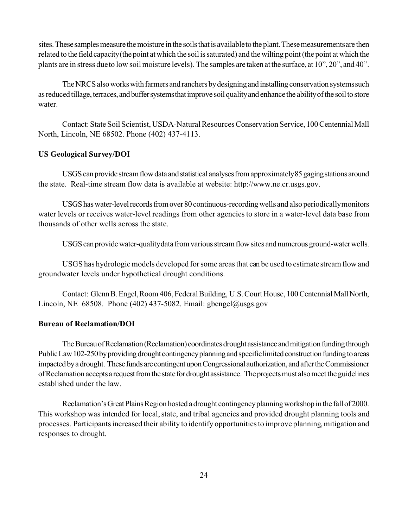sites. These samples measure the moisture in the soils that is available to the plant. These measurements are then related to the field capacity (the point at which the soil is saturated) and the wilting point (the point at which the plants are in stress due to low soil moisture levels). The samples are taken atthe surface, at 10", 20", and 40".

The NRCS also works with farmers and ranchers by designing and installing conservation systems such as reduced tillage, terraces, and buffer systems that improve soil quality and enhance the ability of the soil to store water.

Contact: State Soil Scientist, USDA-Natural Resources Conservation Service, 100 Centennial Mall North, Lincoln, NE 68502. Phone (402) 437-4113.

## **US Geological Survey/DOI**

USGS can provide stream flow data and statistical analyses from approximately 85 gaging stations around the state. Real-time stream flow data is available at website: http://www.ne.cr.usgs.gov.

USGShaswater-levelrecordsfromover80 continuous-recordingwells and alsoperiodicallymonitors water levels or receives water-level readings from other agencies to store in a water-level data base from thousands of other wells across the state.

USGS can provide water-quality data from various stream flow sites and numerous ground-water wells.

USGS has hydrologic models developed for some areas that can be used to estimate stream flow and groundwater levels under hypothetical drought conditions.

Contact: Glenn B. Engel, Room 406, Federal Building, U.S. Court House, 100 Centennial Mall North, Lincoln, NE  $68508$ . Phone (402) 437-5082. Email: gbengel@usgs.gov

#### **Bureau of Reclamation/DOI**

The Bureau of Reclamation (Reclamation) coordinates drought assistance and mitigation funding through Public Law 102-250 by providing drought contingency planning and specific limited construction funding to areas impacted by a drought. These funds are contingent upon Congressional authorization, and after the Commissioner of Reclamation accepts a request from the state for drought assistance. The projects must also meet the guidelines established under the law.

Reclamation's Great Plains Region hosted a drought contingency planning workshop in the fall of 2000. This workshop was intended for local, state, and tribal agencies and provided drought planning tools and processes. Participants increased their ability to identify opportunities to improve planning, mitigation and responses to drought.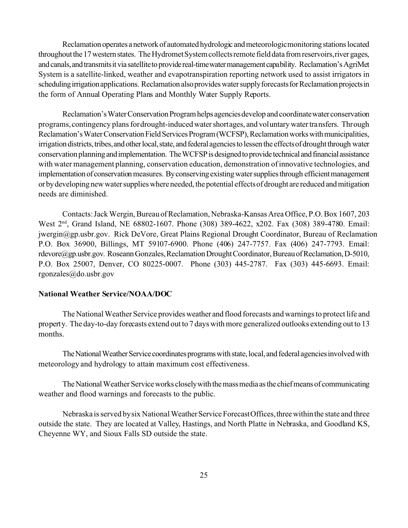Reclamation operates a network of automated hydrologic and meteorologic monitoring stations located throughout the 17 western states. The Hydromet System collects remote field data from reservoirs, river gages, and canals, and transmits it via satellite to provide real-time water management capability. Reclamation's AgriMet System is a satellite-linked, weather and evapotranspiration reporting network used to assist irrigators in scheduling irrigation applications. Reclamation also provides water supply forecasts for Reclamation projects in the form of Annual Operating Plans and Monthly Water Supply Reports.

Reclamation's Water Conservation Program helps agencies develop and coordinate water conservation programs, contingency plans for drought-induced water shortages, and voluntary water transfers. Through Reclamation's Water Conservation Field Services Program (WCFSP), Reclamation works with municipalities, irrigation districts, tribes, and other local, state, and federal agencies to lessen the effects of drought through water conservation planning and implementation. The WCFSP is designed to provide technical and financial assistance with water management planning, conservation education, demonstration of innovative technologies, and implementation of conservation measures. By conserving existing water supplies through efficient management or by developing new water supplies where needed, the potential effects of drought are reduced and mitigation needs are diminished.

Contacts: Jack Wergin, Bureau ofReclamation, Nebraska-Kansas Area Office, P.O. Box 1607, 203 West 2<sup>nd</sup>, Grand Island, NE 68802-1607. Phone (308) 389-4622, x202. Fax (308) 389-4780. Email: jwergin@gp.usbr.gov. Rick DeVore, Great Plains Regional Drought Coordinator, Bureau of Reclamation P.O. Box 36900, Billings, MT 59107-6900. Phone (406) 247-7757. Fax (406) 247-7793. Email: rdevore@gp.usbr.gov. Roseann Gonzales, Reclamation Drought Coordinator, Bureau of Reclamation, D-5010, P.O. Box 25007, Denver, CO 80225-0007. Phone (303) 445-2787. Fax (303) 445-6693. Email: rgonzales@do.usbr.gov

#### **National Weather Service/NOAA/DOC**

The National Weather Service providesweather and flood forecasts and warnings to protect life and property. The day-to-day forecasts extend out to 7 days with more generalized outlooks extending out to 13 months.

The National Weather Service coordinates programs with state, local, and federal agencies involved with meteorology and hydrology to attain maximum cost effectiveness.

The National Weather Service works closely with the mass media as the chief means of communicating weather and flood warnings and forecasts to the public.

Nebraska is served by six National Weather Service Forecast Offices, three within the state and three outside the state. They are located at Valley, Hastings, and North Platte in Nebraska, and Goodland KS, Cheyenne WY, and Sioux Falls SD outside the state.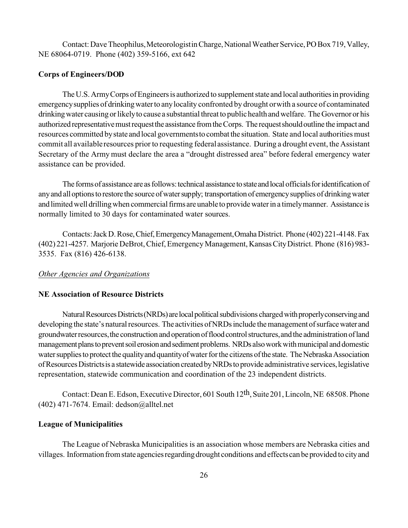Contact: Dave Theophilus, Meteorologistin Charge, National Weather Service, PO Box 719, Valley, NE 68064-0719. Phone (402) 359-5166, ext 642

#### **Corps of Engineers/DOD**

The U.S. Army Corps of Engineers is authorized to supplement state and local authorities in providing emergencysupplies of drinkingwaterto anylocality confronted by drought or with a source of contaminated drinking water causing or likely to cause a substantial threat to public health and welfare. The Governor or his authorized representative must request the assistance from the Corps. The request should outline the impact and resources committed bystate and local governmentsto combatthe situation. State and local authorities must commit all available resources prior to requesting federal assistance. During a drought event, the Assistant Secretary of the Army must declare the area a "drought distressed area" before federal emergency water assistance can be provided.

The forms of assistance are as follows: technical assistance to state and local officials for identification of any and all options to restore the source of water supply; transportation of emergency supplies of drinking water and limited well drilling when commercial firms are unable to provide water in a timely manner. Assistance is normally limited to 30 days for contaminated water sources.

Contacts:JackD.Rose,Chief,EmergencyManagement,OmahaDistrict. Phone (402) 221-4148.Fax (402) 221-4257. Marjorie DeBrot, Chief, Emergency Management, KansasCityDistrict. Phone (816) 983- 3535. Fax (816) 426-6138.

#### *Other Agencies and Organizations*

#### **NE Association of Resource Districts**

Natural Resources Districts (NRDs) are local political subdivisions charged with properly conserving and developing the state's natural resources. The activities of NRDs include the management of surface water and groundwater resources, the construction and operation of flood control structures, and the administration of land management plans to prevent soil erosion and sediment problems. NRDs also work with municipal and domestic water supplies to protect the quality and quantity of water for the citizens of the state. The Nebraska Association of Resources Districts is a statewide association created by NRDs to provide administrative services, legislative representation, statewide communication and coordination of the 23 independent districts.

Contact: Dean E. Edson, Executive Director, 601 South 12th, Suite201, Lincoln, NE 68508. Phone (402) 471-7674. Email: dedson@alltel.net

#### **League of Municipalities**

The League of Nebraska Municipalities is an association whose members are Nebraska cities and villages. Information from state agencies regarding drought conditions and effects can be provided to city and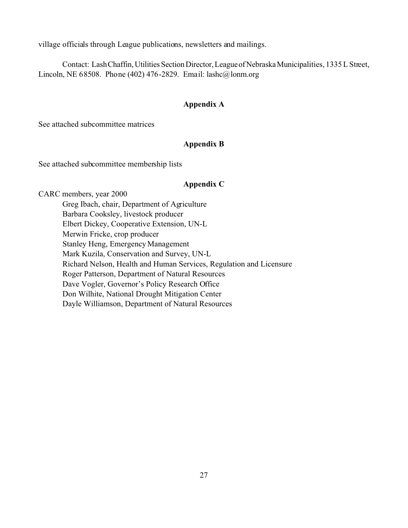village officials through League publications, newsletters and mailings.

Contact: LashChaffin,Utilities SectionDirector,LeagueofNebraskaMunicipalities, 1335 L Street, Lincoln, NE 68508. Phone (402) 476-2829. Email: lashc@lonm.org

## **Appendix A**

See attached subcommittee matrices

## **Appendix B**

See attached subcommittee membership lists

## **Appendix C**

CARC members, year 2000 Greg Ibach, chair, Department of Agriculture Barbara Cooksley, livestock producer Elbert Dickey, Cooperative Extension, UN-L Merwin Fricke, crop producer Stanley Heng, Emergency Management Mark Kuzila, Conservation and Survey, UN-L Richard Nelson, Health and Human Services, Regulation and Licensure Roger Patterson, Department of Natural Resources Dave Vogler, Governor's Policy Research Office Don Wilhite, National Drought Mitigation Center Dayle Williamson, Department of Natural Resources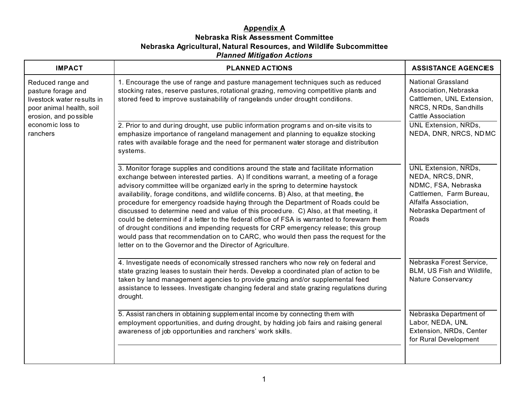## **Appendix A Nebraska Risk Assessment Committee Nebraska Agricultural, Natural Resources, and Wildlife Subcommittee** *Planned Mitigation Actions*

| <b>IMPACT</b>                                                                                                                                              | <b>PLANNED ACTIONS</b>                                                                                                                                                                                                                                                                                                                                                                                                                                                                                                                                                                                                                                                                                                                                                                                                                                                        | <b>ASSISTANCE AGENCIES</b>                                                                                                                                   |
|------------------------------------------------------------------------------------------------------------------------------------------------------------|-------------------------------------------------------------------------------------------------------------------------------------------------------------------------------------------------------------------------------------------------------------------------------------------------------------------------------------------------------------------------------------------------------------------------------------------------------------------------------------------------------------------------------------------------------------------------------------------------------------------------------------------------------------------------------------------------------------------------------------------------------------------------------------------------------------------------------------------------------------------------------|--------------------------------------------------------------------------------------------------------------------------------------------------------------|
| Reduced range and<br>pasture forage and<br>livestock water results in<br>poor animal health, soil<br>erosion, and possible<br>economic loss to<br>ranchers | 1. Encourage the use of range and pasture management techniques such as reduced<br>stocking rates, reserve pastures, rotational grazing, removing competitive plants and<br>stored feed to improve sustainability of rangelands under drought conditions.                                                                                                                                                                                                                                                                                                                                                                                                                                                                                                                                                                                                                     | <b>National Grassland</b><br>Association, Nebraska<br>Cattlemen, UNL Extension,<br>NRCS, NRDs, Sandhills<br><b>Cattle Association</b>                        |
|                                                                                                                                                            | 2. Prior to and during drought, use public information programs and on-site visits to<br>emphasize importance of rangeland management and planning to equalize stocking<br>rates with available forage and the need for permanent water storage and distribution<br>systems.                                                                                                                                                                                                                                                                                                                                                                                                                                                                                                                                                                                                  | <b>UNL Extension, NRDs,</b><br>NEDA, DNR, NRCS, NDMC                                                                                                         |
|                                                                                                                                                            | 3. Monitor forage supplies and conditions around the state and facilitate information<br>exchange between interested parties. A) If conditions warrant, a meeting of a forage<br>advisory committee will be organized early in the spring to determine haystock<br>availability, forage conditions, and wildlife concerns. B) Also, at that meeting, the<br>procedure for emergency roadside haying through the Department of Roads could be<br>discussed to determine need and value of this procedure. C) Also, at that meeting, it<br>could be determined if a letter to the federal office of FSA is warranted to forewarn them<br>of drought conditions and impending requests for CRP emergency release; this group<br>would pass that recommendation on to CARC, who would then pass the request for the<br>letter on to the Governor and the Director of Agriculture. | <b>UNL Extension, NRDs,</b><br>NEDA, NRCS, DNR,<br>NDMC, FSA, Nebraska<br>Cattlemen, Farm Bureau,<br>Alfalfa Association,<br>Nebraska Department of<br>Roads |
|                                                                                                                                                            | 4. Investigate needs of economically stressed ranchers who now rely on federal and<br>state grazing leases to sustain their herds. Develop a coordinated plan of action to be<br>taken by land management agencies to provide grazing and/or supplemental feed<br>assistance to lessees. Investigate changing federal and state grazing regulations during<br>drought.                                                                                                                                                                                                                                                                                                                                                                                                                                                                                                        | Nebraska Forest Service,<br>BLM, US Fish and Wildlife,<br>Nature Conservancy                                                                                 |
|                                                                                                                                                            | 5. Assist ranchers in obtaining supplemental income by connecting them with<br>employment opportunities, and during drought, by holding job fairs and raising general<br>awareness of job opportunities and ranchers' work skills.                                                                                                                                                                                                                                                                                                                                                                                                                                                                                                                                                                                                                                            | Nebraska Department of<br>Labor, NEDA, UNL<br>Extension, NRDs, Center<br>for Rural Development                                                               |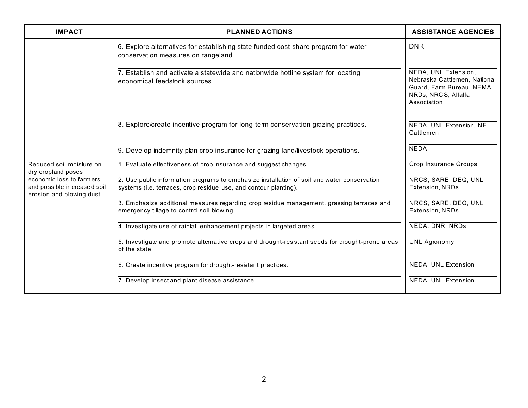| <b>IMPACT</b>                                                                       | <b>PLANNED ACTIONS</b>                                                                                                                                          | <b>ASSISTANCE AGENCIES</b>                                                                                             |
|-------------------------------------------------------------------------------------|-----------------------------------------------------------------------------------------------------------------------------------------------------------------|------------------------------------------------------------------------------------------------------------------------|
|                                                                                     | 6. Explore alternatives for establishing state funded cost-share program for water<br>conservation measures on rangeland.                                       | <b>DNR</b>                                                                                                             |
|                                                                                     | 7. Establish and activate a statewide and nationwide hotline system for locating<br>economical feedstock sources.                                               | NEDA, UNL Extension,<br>Nebraska Cattlemen, National<br>Guard, Fam Bureau, NEMA,<br>NRDs, NRCS, Alfalfa<br>Association |
|                                                                                     | 8. Explore/create incentive program for long-term conservation grazing practices.                                                                               | NEDA, UNL Extension, NE<br>Cattlemen                                                                                   |
|                                                                                     | 9. Develop indemnity plan crop insurance for grazing land/livestock operations.                                                                                 | <b>NEDA</b>                                                                                                            |
| Reduced soil moisture on<br>dry cropland poses                                      | 1. Evaluate effectiveness of crop insurance and suggest changes.                                                                                                | Crop Insurance Groups                                                                                                  |
| economic loss to farmers<br>and possible increased soil<br>erosion and blowing dust | 2. Use public information programs to emphasize installation of soil and water conservation<br>systems (i.e, terraces, crop residue use, and contour planting). | NRCS, SARE, DEQ, UNL<br>Extension, NRDs                                                                                |
|                                                                                     | 3. Emphasize additional measures regarding crop residue management, grassing terraces and<br>emergency tillage to control soil blowing.                         | NRCS, SARE, DEQ, UNL<br>Extension, NRDs                                                                                |
|                                                                                     | 4. Investigate use of rainfall enhancement projects in targeted areas.                                                                                          | NEDA, DNR, NRDs                                                                                                        |
|                                                                                     | 5. Investigate and promote alternative crops and drought-resistant seeds for drought-prone areas<br>of the state.                                               | <b>UNL Agronomy</b>                                                                                                    |
|                                                                                     | 6. Create incentive program for drought-resistant practices.                                                                                                    | <b>NEDA, UNL Extension</b>                                                                                             |
|                                                                                     | 7. Develop insect and plant disease assistance.                                                                                                                 | NEDA, UNL Extension                                                                                                    |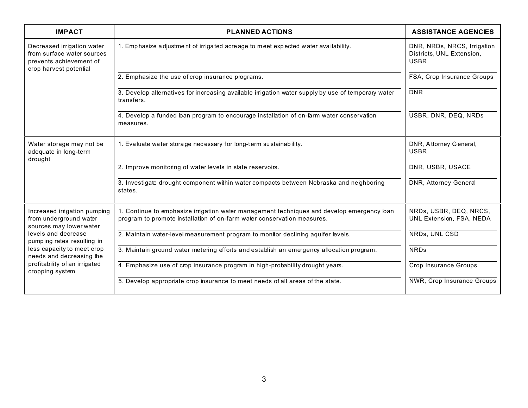| <b>IMPACT</b>                                                                                                 | <b>PLANNED ACTIONS</b>                                                                                                                                                | <b>ASSISTANCE AGENCIES</b>                                              |
|---------------------------------------------------------------------------------------------------------------|-----------------------------------------------------------------------------------------------------------------------------------------------------------------------|-------------------------------------------------------------------------|
| Decreased irrigation water<br>from surface water sources<br>prevents achievement of<br>crop harvest potential | 1. Emphasize adjustment of irrigated acreage to meet expected water availability.                                                                                     | DNR, NRDs, NRCS, Irrigation<br>Districts, UNL Extension,<br><b>USBR</b> |
|                                                                                                               | 2. Emphasize the use of crop insurance programs.                                                                                                                      | FSA, Crop Insurance Groups                                              |
|                                                                                                               | 3. Develop alternatives for increasing available irrigation water supply by use of temporary water<br>transfers.                                                      | <b>DNR</b>                                                              |
|                                                                                                               | 4. Develop a funded loan program to encourage installation of on-farm water conservation<br>measures.                                                                 | USBR, DNR, DEQ, NRDs                                                    |
| Water storage may not be<br>adequate in long-term<br>drought                                                  | 1. Evaluate water storage necessary for long-term sustainability.                                                                                                     | DNR, Attorney General,<br><b>USBR</b>                                   |
|                                                                                                               | 2. Improve monitoring of water levels in state reservoirs.                                                                                                            | DNR, USBR, USACE                                                        |
|                                                                                                               | 3. Investigate drought component within water compacts between Nebraska and neighboring<br>states.                                                                    | DNR, Attorney General                                                   |
| Increased irrigation pumping<br>from underground water<br>sources may lower water                             | 1. Continue to emphasize irrigation water management techniques and develop emergency loan<br>program to promote installation of on-farm water conservation measures. | NRDs, USBR, DEQ, NRCS,<br>UNL Extension, FSA, NEDA                      |
| levels and decrease<br>pumping rates resulting in                                                             | 2. Maintain water-level measurement program to monitor declining aquifer levels.                                                                                      | NRDs, UNL CSD                                                           |
| less capacity to meet crop<br>needs and decreasing the                                                        | 3. Maintain ground water metering efforts and establish an emergency allocation program.                                                                              | <b>NRDs</b>                                                             |
| profitability of an irrigated<br>cropping system                                                              | 4. Emphasize use of crop insurance program in high-probability drought years.                                                                                         | <b>Crop Insurance Groups</b>                                            |
|                                                                                                               | 5. Develop appropriate crop insurance to meet needs of all areas of the state.                                                                                        | NWR, Crop Insurance Groups                                              |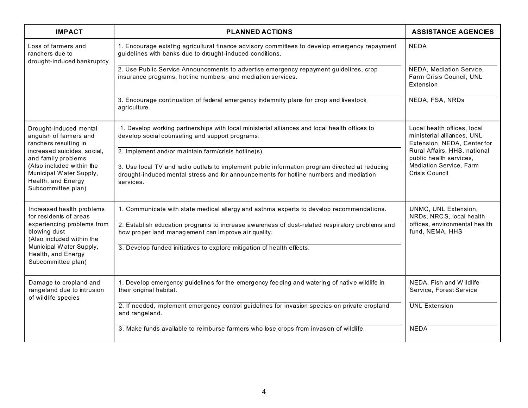| <b>IMPACT</b>                                                                                    | <b>PLANNED ACTIONS</b>                                                                                                                                                                               | <b>ASSISTANCE AGENCIES</b>                                                               |  |
|--------------------------------------------------------------------------------------------------|------------------------------------------------------------------------------------------------------------------------------------------------------------------------------------------------------|------------------------------------------------------------------------------------------|--|
| Loss of farmers and<br>ranchers due to<br>drought-induced bankruptcy                             | 1. Encourage existing agricultural finance advisory committees to develop emergency repayment<br>guidelines with banks due to drought-induced conditions.                                            | <b>NEDA</b>                                                                              |  |
|                                                                                                  | 2. Use Public Service Announcements to advertise emergency repayment guidelines, crop<br>insurance programs, hotline numbers, and mediation services.                                                | NEDA, Mediation Service,<br>Farm Crisis Council, UNL<br>Extension                        |  |
|                                                                                                  | 3. Encourage continuation of federal emergency indemnity plans for crop and livestock<br>agriculture.                                                                                                | NEDA, FSA, NRDs                                                                          |  |
| Drought-induced mental<br>anguish of farmers and<br>ranchers resulting in                        | 1. Develop working partnerships with local ministerial alliances and local health offices to<br>develop social counseling and support programs.                                                      | Local health offices, local<br>ministerial alliances, UNL<br>Extension, NEDA, Center for |  |
| increased suicides, social,<br>and family problems                                               | 2. Implement and/or maintain farm/crisis hotline(s).                                                                                                                                                 | Rural Affairs, HHS, national<br>public health services,                                  |  |
| (Also included within the<br>Municipal Water Supply,<br>Health, and Energy<br>Subcommittee plan) | 3. Use local TV and radio outlets to implement public information program directed at reducing<br>drought-induced mental stress and for announcements for hotline numbers and mediation<br>services. | Mediation Service, Farm<br>Crisis Council                                                |  |
| Increased health problems<br>for residents of areas                                              | 1. Communicate with state medical allergy and asthma experts to develop recommendations.                                                                                                             | UNMC, UNL Extension,<br>NRDs, NRCS, local health                                         |  |
| experiencing problems from<br>blowing dust<br>(Also included within the                          | 2. Establish education programs to increase awareness of dust-related respiratory problems and<br>how proper land management can improve air quality.                                                | offices, environmental health<br>fund, NEMA, HHS                                         |  |
| Municipal Water Supply,<br>Health, and Energy<br>Subcommittee plan)                              | 3. Develop funded initiatives to explore mitigation of health effects.                                                                                                                               |                                                                                          |  |
| Damage to cropland and<br>rangeland due to intrusion<br>of wildlife species                      | 1. Develop emergency guidelines for the emergency feeding and watering of native wildlife in<br>their original habitat.                                                                              | NEDA, Fish and Wildlife<br>Service, Forest Service                                       |  |
|                                                                                                  | 2. If needed, implement emergency control guidelines for invasion species on private cropland<br>and rangeland.                                                                                      | <b>UNL Extension</b>                                                                     |  |
|                                                                                                  | 3. Make funds available to reimburse farmers who lose crops from invasion of wildlife.                                                                                                               | <b>NEDA</b>                                                                              |  |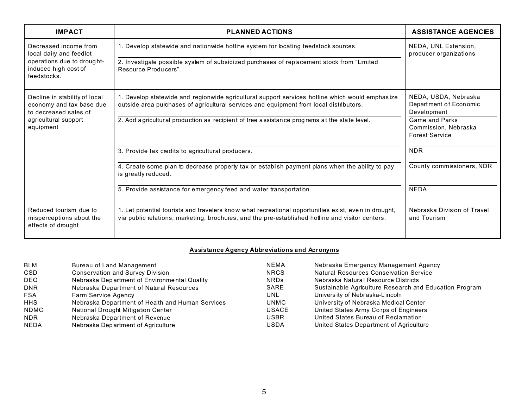| <b>IMPACT</b>                                                                      | <b>PLANNED ACTIONS</b>                                                                                                                                                                                   | <b>ASSISTANCE AGENCIES</b>                                             |
|------------------------------------------------------------------------------------|----------------------------------------------------------------------------------------------------------------------------------------------------------------------------------------------------------|------------------------------------------------------------------------|
| Decreased income from<br>local dairy and feedlot                                   | 1. Develop statewide and nationwide hotline system for locating feedstock sources.                                                                                                                       | NEDA, UNL Extension,<br>producer organizations                         |
| operations due to drought-<br>induced high cost of<br>feedstocks.                  | 2. Investigate possible system of subsidized purchases of replacement stock from "Limited<br>Resource Producers"                                                                                         |                                                                        |
| Decline in stability of local<br>economy and tax base due<br>to decreased sales of | 1. Develop statewide and regionwide agricultural support services hotline which would emphasize<br>outside area purchases of agricultural services and equipment from local distributors.                | NEDA, USDA, Nebraska<br>Department of Economic<br>Development          |
| agricultural support<br>equipment                                                  | 2. Add a gricultural production as recipient of tree assistance programs at the state level.                                                                                                             | <b>Game and Parks</b><br>Commission, Nebraska<br><b>Forest Service</b> |
|                                                                                    | 3. Provide tax credits to agricultural producers.                                                                                                                                                        | <b>NDR</b>                                                             |
|                                                                                    | 4. Create some plan to decrease property tax or establish payment plans when the ability to pay<br>is greatly reduced.                                                                                   | County commissioners, NDR                                              |
|                                                                                    | 5. Provide assistance for emergency feed and water transportation.                                                                                                                                       | <b>NEDA</b>                                                            |
| Reduced tourism due to<br>misperceptions about the<br>effects of drought           | 1. Let potential tourists and travelers know what recreational opportunities exist, even in drought,<br>via public relations, marketing, brochures, and the pre-established hotline and visitor centers. | Nebraska Division of Travel<br>and Tourism                             |

## **Assistance Agency Abbreviations and Acronyms**

| <b>BLM</b>  | Bureau of Land Management                        | <b>NEMA</b>  | Nebraska Emergency Management Agency                   |
|-------------|--------------------------------------------------|--------------|--------------------------------------------------------|
| <b>CSD</b>  | <b>Conservation and Survey Division</b>          | <b>NRCS</b>  | <b>Natural Resources Conservation Service</b>          |
| <b>DEQ</b>  | Nebraska Department of Environmental Quality     | <b>NRDs</b>  | Nebraska Natural Resource Districts                    |
| <b>DNR</b>  | Nebraska Department of Natural Resources         | SARE         | Sustainable Agriculture Research and Education Program |
| <b>FSA</b>  | <b>Farm Service Agency</b>                       | UNL          | University of Nebraska-Lincoln                         |
| <b>HHS</b>  | Nebraska Department of Health and Human Services | UNMC         | University of Nebraska Medical Center                  |
| <b>NDMC</b> | National Drought Mitigation Center               | <b>USACE</b> | United States Army Corps of Engineers                  |
| <b>NDR</b>  | Nebraska Department of Revenue                   | <b>USBR</b>  | United States Bureau of Reclamation                    |
| <b>NEDA</b> | Nebraska Department of Agriculture               | USDA         | United States Department of Agriculture                |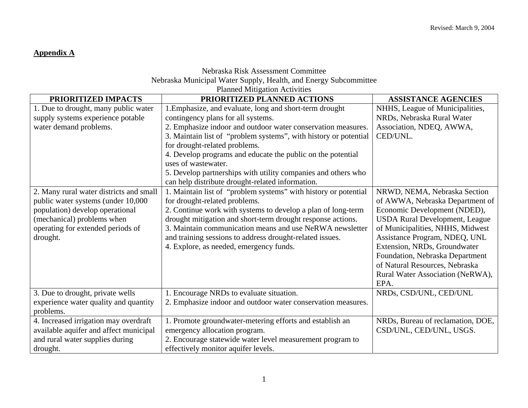# **Appendix A**

# Nebraska Risk Assessment Committee Nebraska Municipal Water Supply, Health, and Energy Subcommittee

| PRIORITIZED IMPACTS                                                                                                                                                                             | PRIORITIZED PLANNED ACTIONS                                                                                                                                                                                                                                                                                                                                                                                                                                                   | <b>ASSISTANCE AGENCIES</b>                                                                                                                                                                                                                                                                                                                                     |
|-------------------------------------------------------------------------------------------------------------------------------------------------------------------------------------------------|-------------------------------------------------------------------------------------------------------------------------------------------------------------------------------------------------------------------------------------------------------------------------------------------------------------------------------------------------------------------------------------------------------------------------------------------------------------------------------|----------------------------------------------------------------------------------------------------------------------------------------------------------------------------------------------------------------------------------------------------------------------------------------------------------------------------------------------------------------|
| 1. Due to drought, many public water<br>supply systems experience potable<br>water demand problems.                                                                                             | 1. Emphasize, and evaluate, long and short-term drought<br>contingency plans for all systems.<br>2. Emphasize indoor and outdoor water conservation measures.<br>3. Maintain list of "problem systems", with history or potential<br>for drought-related problems.<br>4. Develop programs and educate the public on the potential<br>uses of wastewater.<br>5. Develop partnerships with utility companies and others who<br>can help distribute drought-related information. | NHHS, League of Municipalities,<br>NRDs, Nebraska Rural Water<br>Association, NDEQ, AWWA,<br>CED/UNL.                                                                                                                                                                                                                                                          |
| 2. Many rural water districts and small<br>public water systems (under 10,000<br>population) develop operational<br>(mechanical) problems when<br>operating for extended periods of<br>drought. | 1. Maintain list of "problem systems" with history or potential<br>for drought-related problems.<br>2. Continue work with systems to develop a plan of long-term<br>drought mitigation and short-term drought response actions.<br>3. Maintain communication means and use NeRWA newsletter<br>and training sessions to address drought-related issues.<br>4. Explore, as needed, emergency funds.                                                                            | NRWD, NEMA, Nebraska Section<br>of AWWA, Nebraska Department of<br>Economic Development (NDED),<br><b>USDA Rural Development, League</b><br>of Municipalities, NHHS, Midwest<br>Assistance Program, NDEQ, UNL<br>Extension, NRDs, Groundwater<br>Foundation, Nebraska Department<br>of Natural Resources, Nebraska<br>Rural Water Association (NeRWA),<br>EPA. |
| 3. Due to drought, private wells<br>experience water quality and quantity<br>problems.                                                                                                          | 1. Encourage NRDs to evaluate situation.<br>2. Emphasize indoor and outdoor water conservation measures.                                                                                                                                                                                                                                                                                                                                                                      | NRDs, CSD/UNL, CED/UNL                                                                                                                                                                                                                                                                                                                                         |
| 4. Increased irrigation may overdraft<br>available aquifer and affect municipal<br>and rural water supplies during<br>drought.                                                                  | 1. Promote groundwater-metering efforts and establish an<br>emergency allocation program.<br>2. Encourage statewide water level measurement program to<br>effectively monitor aquifer levels.                                                                                                                                                                                                                                                                                 | NRDs, Bureau of reclamation, DOE,<br>CSD/UNL, CED/UNL, USGS.                                                                                                                                                                                                                                                                                                   |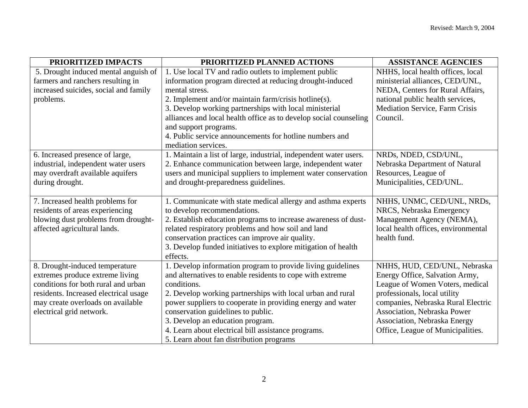| PRIORITIZED IMPACTS                   | PRIORITIZED PLANNED ACTIONS                                       | <b>ASSISTANCE AGENCIES</b>          |
|---------------------------------------|-------------------------------------------------------------------|-------------------------------------|
| 5. Drought induced mental anguish of  | 1. Use local TV and radio outlets to implement public             | NHHS, local health offices, local   |
| farmers and ranchers resulting in     | information program directed at reducing drought-induced          | ministerial alliances, CED/UNL,     |
| increased suicides, social and family | mental stress.                                                    | NEDA, Centers for Rural Affairs,    |
| problems.                             | 2. Implement and/or maintain farm/crisis hotline(s).              | national public health services,    |
|                                       | 3. Develop working partnerships with local ministerial            | Mediation Service, Farm Crisis      |
|                                       | alliances and local health office as to develop social counseling | Council.                            |
|                                       | and support programs.                                             |                                     |
|                                       | 4. Public service announcements for hotline numbers and           |                                     |
|                                       | mediation services.                                               |                                     |
| 6. Increased presence of large,       | 1. Maintain a list of large, industrial, independent water users. | NRDs, NDED, CSD/UNL,                |
| industrial, independent water users   | 2. Enhance communication between large, independent water         | Nebraska Department of Natural      |
| may overdraft available aquifers      | users and municipal suppliers to implement water conservation     | Resources, League of                |
| during drought.                       | and drought-preparedness guidelines.                              | Municipalities, CED/UNL.            |
|                                       |                                                                   |                                     |
| 7. Increased health problems for      | 1. Communicate with state medical allergy and asthma experts      | NHHS, UNMC, CED/UNL, NRDs,          |
| residents of areas experiencing       | to develop recommendations.                                       | NRCS, Nebraska Emergency            |
| blowing dust problems from drought-   | 2. Establish education programs to increase awareness of dust-    | Management Agency (NEMA),           |
| affected agricultural lands.          | related respiratory problems and how soil and land                | local health offices, environmental |
|                                       | conservation practices can improve air quality.                   | health fund.                        |
|                                       | 3. Develop funded initiatives to explore mitigation of health     |                                     |
|                                       | effects.                                                          |                                     |
| 8. Drought-induced temperature        | 1. Develop information program to provide living guidelines       | NHHS, HUD, CED/UNL, Nebraska        |
| extremes produce extreme living       | and alternatives to enable residents to cope with extreme         | Energy Office, Salvation Army,      |
| conditions for both rural and urban   | conditions.                                                       | League of Women Voters, medical     |
| residents. Increased electrical usage | 2. Develop working partnerships with local urban and rural        | professionals, local utility        |
| may create overloads on available     | power suppliers to cooperate in providing energy and water        | companies, Nebraska Rural Electric  |
| electrical grid network.              | conservation guidelines to public.                                | Association, Nebraska Power         |
|                                       | 3. Develop an education program.                                  | Association, Nebraska Energy        |
|                                       | 4. Learn about electrical bill assistance programs.               | Office, League of Municipalities.   |
|                                       | 5. Learn about fan distribution programs                          |                                     |